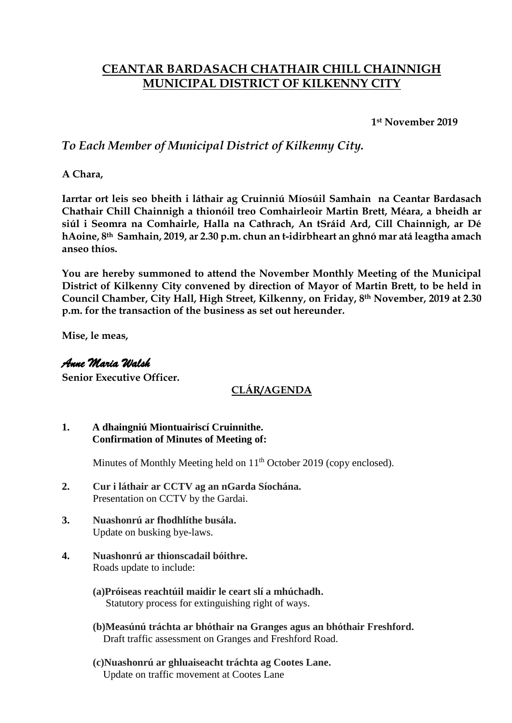# **CEANTAR BARDASACH CHATHAIR CHILL CHAINNIGH MUNICIPAL DISTRICT OF KILKENNY CITY**

**1st November 2019**

## *To Each Member of Municipal District of Kilkenny City.*

**A Chara,**

**Iarrtar ort leis seo bheith i láthair ag Cruinniú Míosúil Samhain na Ceantar Bardasach Chathair Chill Chainnigh a thionóil treo Comhairleoir Martin Brett, Méara, a bheidh ar siúl i Seomra na Comhairle, Halla na Cathrach, An tSráid Ard, Cill Chainnigh, ar Dé hAoine, 8th Samhain, 2019, ar 2.30 p.m. chun an t-idirbheart an ghnó mar atá leagtha amach anseo thíos.**

**You are hereby summoned to attend the November Monthly Meeting of the Municipal District of Kilkenny City convened by direction of Mayor of Martin Brett, to be held in Council Chamber, City Hall, High Street, Kilkenny, on Friday, 8th November, 2019 at 2.30 p.m. for the transaction of the business as set out hereunder.**

**Mise, le meas,**

### *Anne Maria Walsh*

**Senior Executive Officer.**

## **CLÁR/AGENDA**

#### **1. A dhaingniú Miontuairiscí Cruinnithe. Confirmation of Minutes of Meeting of:**

Minutes of Monthly Meeting held on 11<sup>th</sup> October 2019 (copy enclosed).

- **2. Cur i láthair ar CCTV ag an nGarda Síochána.** Presentation on CCTV by the Gardai.
- **3. Nuashonrú ar fhodhlíthe busála.** Update on busking bye-laws.
- **4. Nuashonrú ar thionscadail bóithre.**  Roads update to include:
	- **(a)Próiseas reachtúil maidir le ceart slí a mhúchadh.** Statutory process for extinguishing right of ways.
	- **(b)Measúnú tráchta ar bhóthair na Granges agus an bhóthair Freshford.** Draft traffic assessment on Granges and Freshford Road.
	- **(c)Nuashonrú ar ghluaiseacht tráchta ag Cootes Lane.** Update on traffic movement at Cootes Lane